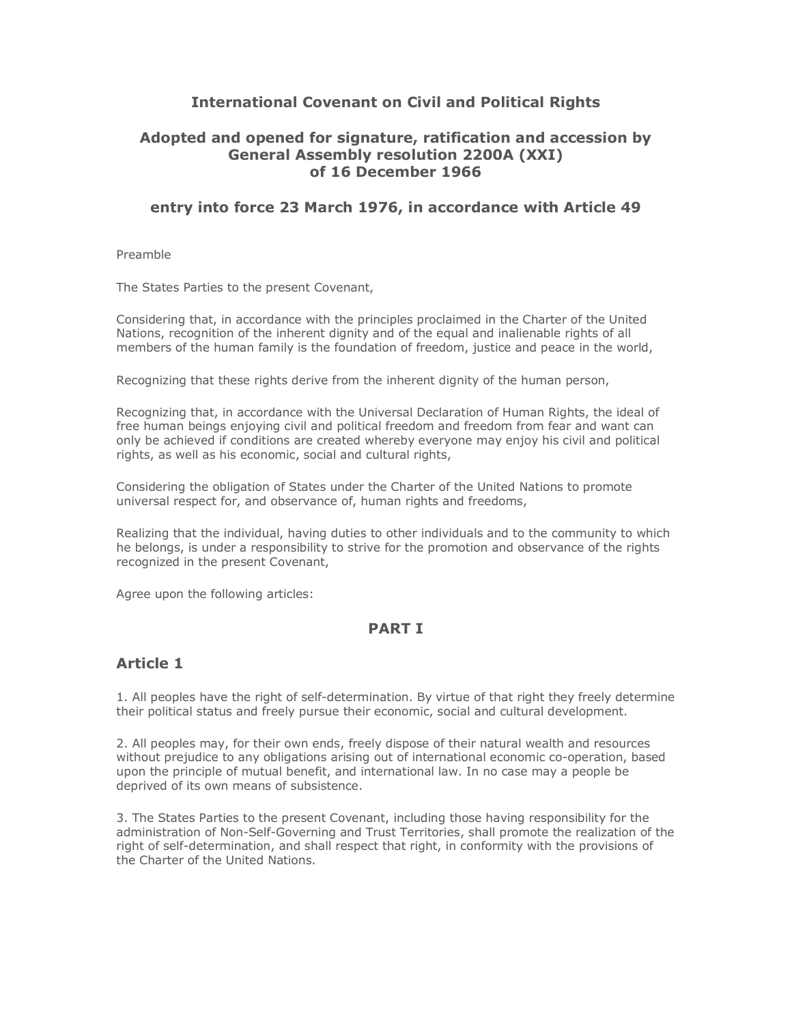### **International Covenant on Civil and Political Rights**

### **Adopted and opened for signature, ratification and accession by General Assembly resolution 2200A (XXI) of 16 December 1966**

### **entry into force 23 March 1976, in accordance with Article 49**

Preamble

The States Parties to the present Covenant,

Considering that, in accordance with the principles proclaimed in the Charter of the United Nations, recognition of the inherent dignity and of the equal and inalienable rights of all members of the human family is the foundation of freedom, justice and peace in the world,

Recognizing that these rights derive from the inherent dignity of the human person,

Recognizing that, in accordance with the Universal Declaration of Human Rights, the ideal of free human beings enjoying civil and political freedom and freedom from fear and want can only be achieved if conditions are created whereby everyone may enjoy his civil and political rights, as well as his economic, social and cultural rights,

Considering the obligation of States under the Charter of the United Nations to promote universal respect for, and observance of, human rights and freedoms,

Realizing that the individual, having duties to other individuals and to the community to which he belongs, is under a responsibility to strive for the promotion and observance of the rights recognized in the present Covenant,

Agree upon the following articles:

#### **PART I**

### **Article 1**

1. All peoples have the right of self-determination. By virtue of that right they freely determine their political status and freely pursue their economic, social and cultural development.

2. All peoples may, for their own ends, freely dispose of their natural wealth and resources without prejudice to any obligations arising out of international economic co-operation, based upon the principle of mutual benefit, and international law. In no case may a people be deprived of its own means of subsistence.

3. The States Parties to the present Covenant, including those having responsibility for the administration of Non-Self-Governing and Trust Territories, shall promote the realization of the right of self-determination, and shall respect that right, in conformity with the provisions of the Charter of the United Nations.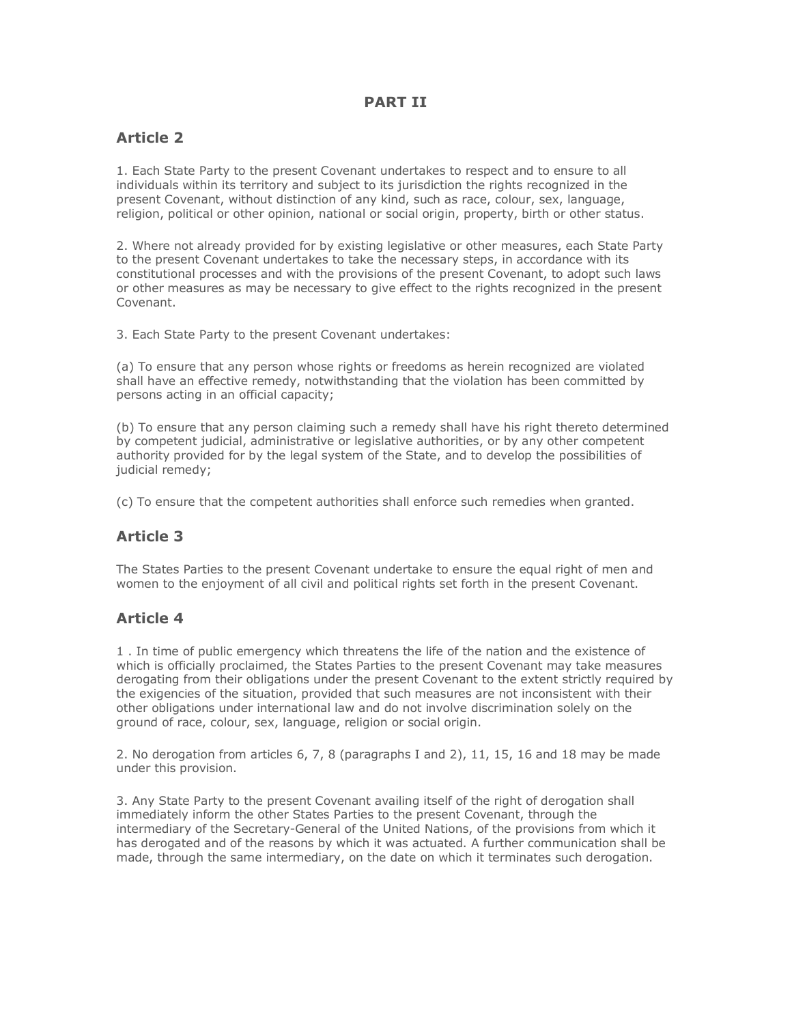### **PART II**

### **Article 2**

1. Each State Party to the present Covenant undertakes to respect and to ensure to all individuals within its territory and subject to its jurisdiction the rights recognized in the present Covenant, without distinction of any kind, such as race, colour, sex, language, religion, political or other opinion, national or social origin, property, birth or other status.

2. Where not already provided for by existing legislative or other measures, each State Party to the present Covenant undertakes to take the necessary steps, in accordance with its constitutional processes and with the provisions of the present Covenant, to adopt such laws or other measures as may be necessary to give effect to the rights recognized in the present Covenant.

3. Each State Party to the present Covenant undertakes:

(a) To ensure that any person whose rights or freedoms as herein recognized are violated shall have an effective remedy, notwithstanding that the violation has been committed by persons acting in an official capacity;

(b) To ensure that any person claiming such a remedy shall have his right thereto determined by competent judicial, administrative or legislative authorities, or by any other competent authority provided for by the legal system of the State, and to develop the possibilities of judicial remedy;

(c) To ensure that the competent authorities shall enforce such remedies when granted.

## **Article 3**

The States Parties to the present Covenant undertake to ensure the equal right of men and women to the enjoyment of all civil and political rights set forth in the present Covenant.

### **Article 4**

1 . In time of public emergency which threatens the life of the nation and the existence of which is officially proclaimed, the States Parties to the present Covenant may take measures derogating from their obligations under the present Covenant to the extent strictly required by the exigencies of the situation, provided that such measures are not inconsistent with their other obligations under international law and do not involve discrimination solely on the ground of race, colour, sex, language, religion or social origin.

2. No derogation from articles 6, 7, 8 (paragraphs I and 2), 11, 15, 16 and 18 may be made under this provision.

3. Any State Party to the present Covenant availing itself of the right of derogation shall immediately inform the other States Parties to the present Covenant, through the intermediary of the Secretary-General of the United Nations, of the provisions from which it has derogated and of the reasons by which it was actuated. A further communication shall be made, through the same intermediary, on the date on which it terminates such derogation.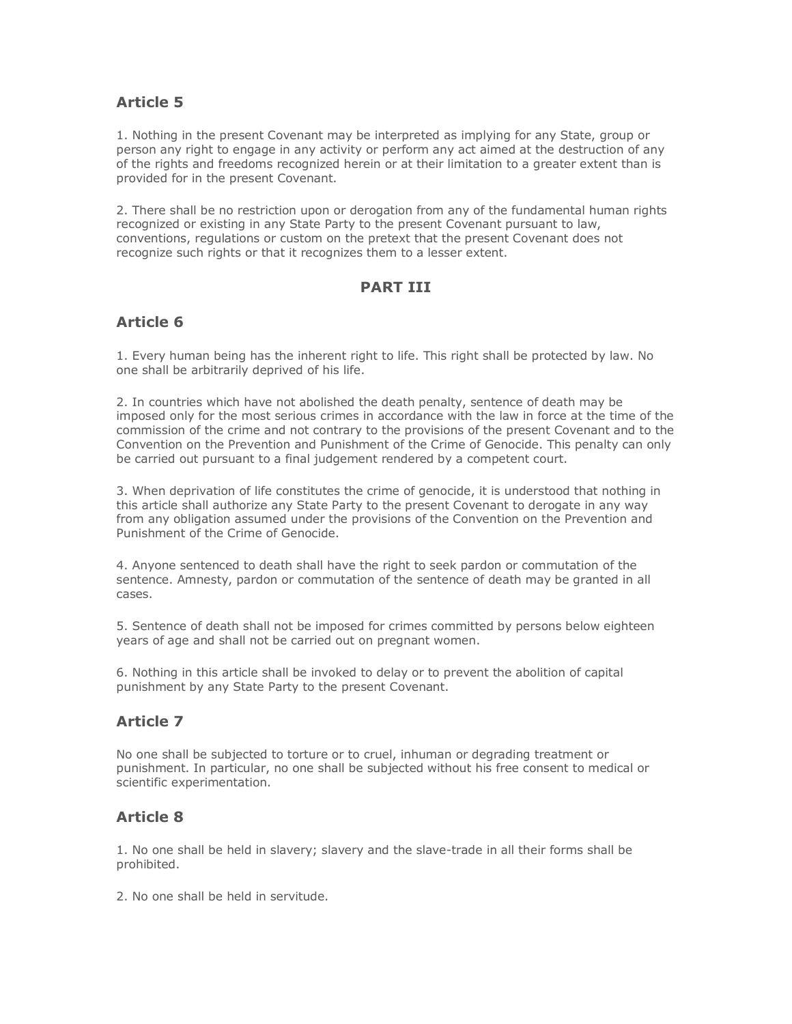1. Nothing in the present Covenant may be interpreted as implying for any State, group or person any right to engage in any activity or perform any act aimed at the destruction of any of the rights and freedoms recognized herein or at their limitation to a greater extent than is provided for in the present Covenant.

2. There shall be no restriction upon or derogation from any of the fundamental human rights recognized or existing in any State Party to the present Covenant pursuant to law, conventions, regulations or custom on the pretext that the present Covenant does not recognize such rights or that it recognizes them to a lesser extent.

#### **PART III**

### **Article 6**

1. Every human being has the inherent right to life. This right shall be protected by law. No one shall be arbitrarily deprived of his life.

2. In countries which have not abolished the death penalty, sentence of death may be imposed only for the most serious crimes in accordance with the law in force at the time of the commission of the crime and not contrary to the provisions of the present Covenant and to the Convention on the Prevention and Punishment of the Crime of Genocide. This penalty can only be carried out pursuant to a final judgement rendered by a competent court.

3. When deprivation of life constitutes the crime of genocide, it is understood that nothing in this article shall authorize any State Party to the present Covenant to derogate in any way from any obligation assumed under the provisions of the Convention on the Prevention and Punishment of the Crime of Genocide.

4. Anyone sentenced to death shall have the right to seek pardon or commutation of the sentence. Amnesty, pardon or commutation of the sentence of death may be granted in all cases.

5. Sentence of death shall not be imposed for crimes committed by persons below eighteen years of age and shall not be carried out on pregnant women.

6. Nothing in this article shall be invoked to delay or to prevent the abolition of capital punishment by any State Party to the present Covenant.

## **Article 7**

No one shall be subjected to torture or to cruel, inhuman or degrading treatment or punishment. In particular, no one shall be subjected without his free consent to medical or scientific experimentation.

### **Article 8**

1. No one shall be held in slavery; slavery and the slave-trade in all their forms shall be prohibited.

2. No one shall be held in servitude.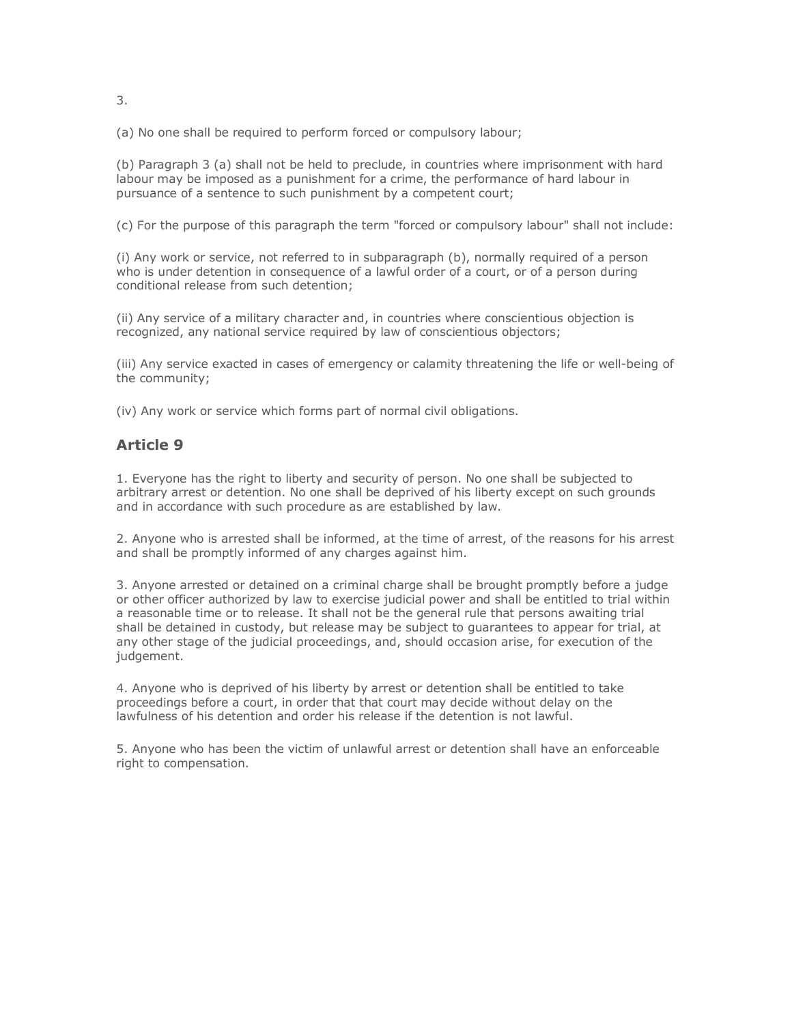3.

(a) No one shall be required to perform forced or compulsory labour;

(b) Paragraph 3 (a) shall not be held to preclude, in countries where imprisonment with hard labour may be imposed as a punishment for a crime, the performance of hard labour in pursuance of a sentence to such punishment by a competent court;

(c) For the purpose of this paragraph the term "forced or compulsory labour" shall not include:

(i) Any work or service, not referred to in subparagraph (b), normally required of a person who is under detention in consequence of a lawful order of a court, or of a person during conditional release from such detention;

(ii) Any service of a military character and, in countries where conscientious objection is recognized, any national service required by law of conscientious objectors;

(iii) Any service exacted in cases of emergency or calamity threatening the life or well-being of the community;

(iv) Any work or service which forms part of normal civil obligations.

### **Article 9**

1. Everyone has the right to liberty and security of person. No one shall be subjected to arbitrary arrest or detention. No one shall be deprived of his liberty except on such grounds and in accordance with such procedure as are established by law.

2. Anyone who is arrested shall be informed, at the time of arrest, of the reasons for his arrest and shall be promptly informed of any charges against him.

3. Anyone arrested or detained on a criminal charge shall be brought promptly before a judge or other officer authorized by law to exercise judicial power and shall be entitled to trial within a reasonable time or to release. It shall not be the general rule that persons awaiting trial shall be detained in custody, but release may be subject to guarantees to appear for trial, at any other stage of the judicial proceedings, and, should occasion arise, for execution of the judgement.

4. Anyone who is deprived of his liberty by arrest or detention shall be entitled to take proceedings before a court, in order that that court may decide without delay on the lawfulness of his detention and order his release if the detention is not lawful.

5. Anyone who has been the victim of unlawful arrest or detention shall have an enforceable right to compensation.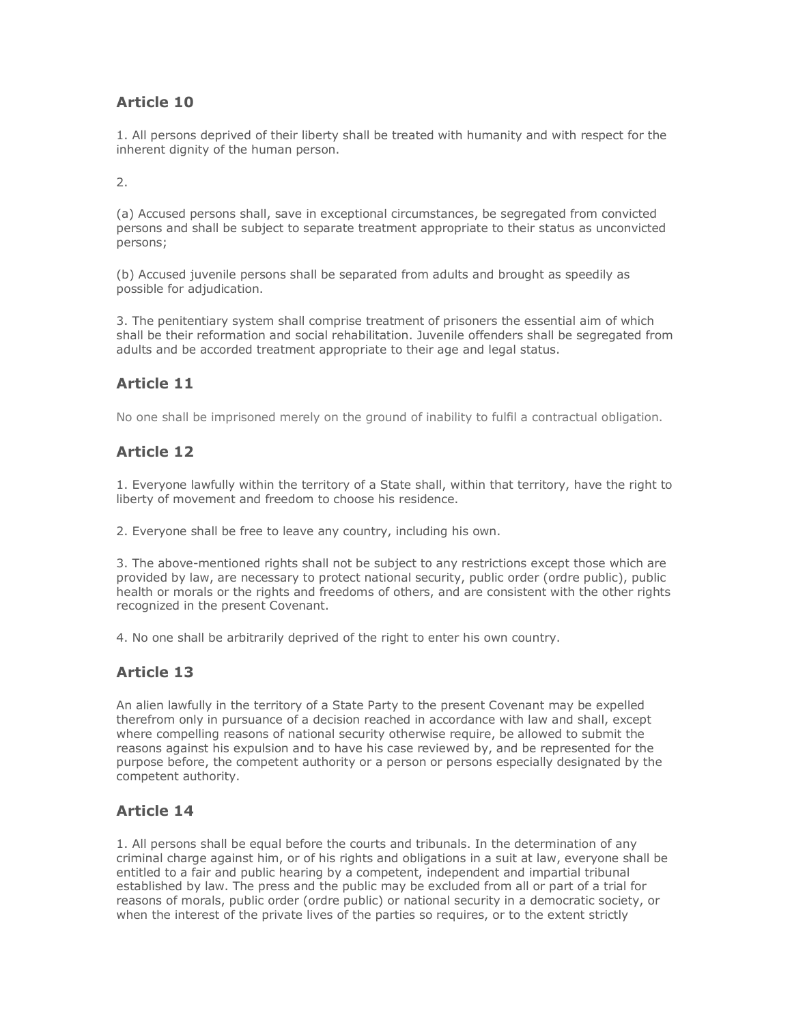1. All persons deprived of their liberty shall be treated with humanity and with respect for the inherent dignity of the human person.

#### 2.

(a) Accused persons shall, save in exceptional circumstances, be segregated from convicted persons and shall be subject to separate treatment appropriate to their status as unconvicted persons;

(b) Accused juvenile persons shall be separated from adults and brought as speedily as possible for adjudication.

3. The penitentiary system shall comprise treatment of prisoners the essential aim of which shall be their reformation and social rehabilitation. Juvenile offenders shall be segregated from adults and be accorded treatment appropriate to their age and legal status.

# **Article 11**

No one shall be imprisoned merely on the ground of inability to fulfil a contractual obligation.

## **Article 12**

1. Everyone lawfully within the territory of a State shall, within that territory, have the right to liberty of movement and freedom to choose his residence.

2. Everyone shall be free to leave any country, including his own.

3. The above-mentioned rights shall not be subject to any restrictions except those which are provided by law, are necessary to protect national security, public order (ordre public), public health or morals or the rights and freedoms of others, and are consistent with the other rights recognized in the present Covenant.

4. No one shall be arbitrarily deprived of the right to enter his own country.

## **Article 13**

An alien lawfully in the territory of a State Party to the present Covenant may be expelled therefrom only in pursuance of a decision reached in accordance with law and shall, except where compelling reasons of national security otherwise require, be allowed to submit the reasons against his expulsion and to have his case reviewed by, and be represented for the purpose before, the competent authority or a person or persons especially designated by the competent authority.

## **Article 14**

1. All persons shall be equal before the courts and tribunals. In the determination of any criminal charge against him, or of his rights and obligations in a suit at law, everyone shall be entitled to a fair and public hearing by a competent, independent and impartial tribunal established by law. The press and the public may be excluded from all or part of a trial for reasons of morals, public order (ordre public) or national security in a democratic society, or when the interest of the private lives of the parties so requires, or to the extent strictly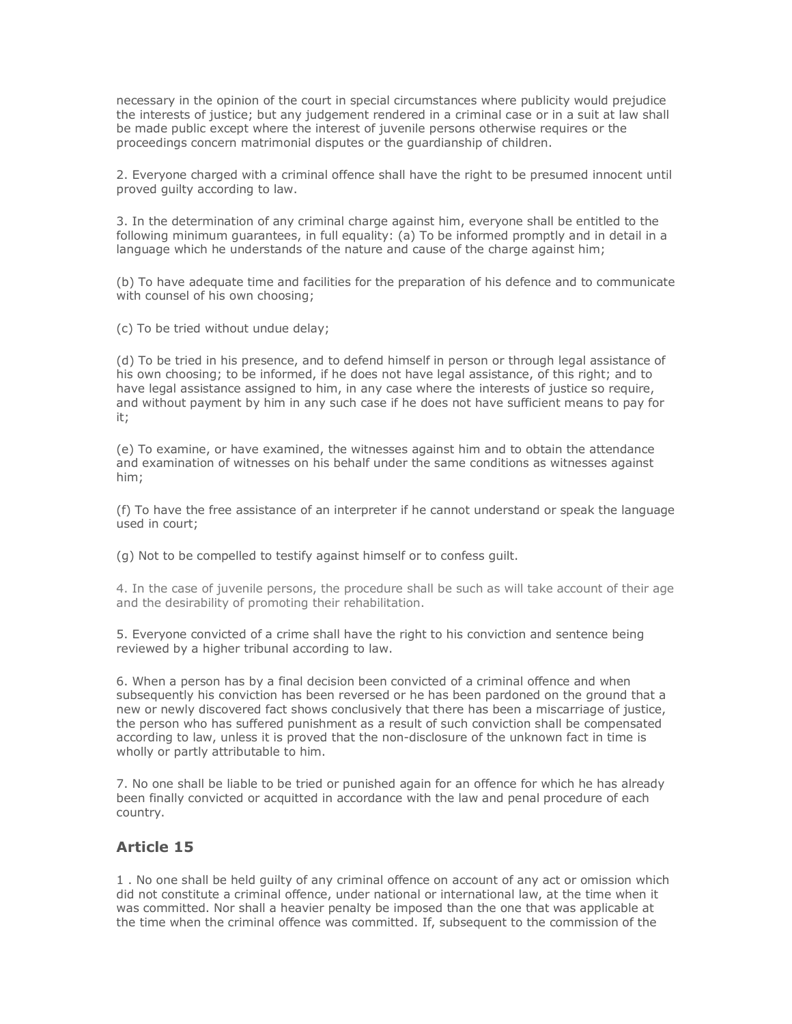necessary in the opinion of the court in special circumstances where publicity would prejudice the interests of justice; but any judgement rendered in a criminal case or in a suit at law shall be made public except where the interest of juvenile persons otherwise requires or the proceedings concern matrimonial disputes or the guardianship of children.

2. Everyone charged with a criminal offence shall have the right to be presumed innocent until proved guilty according to law.

3. In the determination of any criminal charge against him, everyone shall be entitled to the following minimum guarantees, in full equality: (a) To be informed promptly and in detail in a language which he understands of the nature and cause of the charge against him;

(b) To have adequate time and facilities for the preparation of his defence and to communicate with counsel of his own choosing;

(c) To be tried without undue delay;

(d) To be tried in his presence, and to defend himself in person or through legal assistance of his own choosing; to be informed, if he does not have legal assistance, of this right; and to have legal assistance assigned to him, in any case where the interests of justice so require, and without payment by him in any such case if he does not have sufficient means to pay for it;

(e) To examine, or have examined, the witnesses against him and to obtain the attendance and examination of witnesses on his behalf under the same conditions as witnesses against him;

(f) To have the free assistance of an interpreter if he cannot understand or speak the language used in court;

(g) Not to be compelled to testify against himself or to confess guilt.

4. In the case of juvenile persons, the procedure shall be such as will take account of their age and the desirability of promoting their rehabilitation.

5. Everyone convicted of a crime shall have the right to his conviction and sentence being reviewed by a higher tribunal according to law.

6. When a person has by a final decision been convicted of a criminal offence and when subsequently his conviction has been reversed or he has been pardoned on the ground that a new or newly discovered fact shows conclusively that there has been a miscarriage of justice, the person who has suffered punishment as a result of such conviction shall be compensated according to law, unless it is proved that the non-disclosure of the unknown fact in time is wholly or partly attributable to him.

7. No one shall be liable to be tried or punished again for an offence for which he has already been finally convicted or acquitted in accordance with the law and penal procedure of each country.

#### **Article 15**

1 . No one shall be held guilty of any criminal offence on account of any act or omission which did not constitute a criminal offence, under national or international law, at the time when it was committed. Nor shall a heavier penalty be imposed than the one that was applicable at the time when the criminal offence was committed. If, subsequent to the commission of the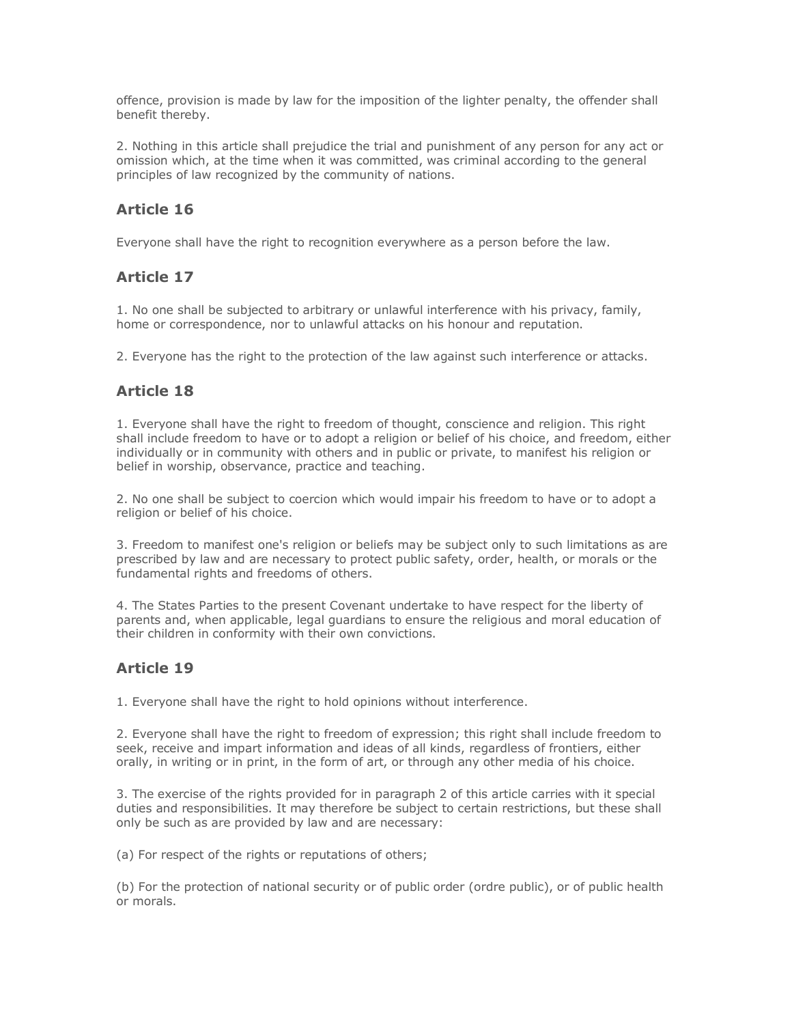offence, provision is made by law for the imposition of the lighter penalty, the offender shall benefit thereby.

2. Nothing in this article shall prejudice the trial and punishment of any person for any act or omission which, at the time when it was committed, was criminal according to the general principles of law recognized by the community of nations.

# **Article 16**

Everyone shall have the right to recognition everywhere as a person before the law.

## **Article 17**

1. No one shall be subjected to arbitrary or unlawful interference with his privacy, family, home or correspondence, nor to unlawful attacks on his honour and reputation.

2. Everyone has the right to the protection of the law against such interference or attacks.

# **Article 18**

1. Everyone shall have the right to freedom of thought, conscience and religion. This right shall include freedom to have or to adopt a religion or belief of his choice, and freedom, either individually or in community with others and in public or private, to manifest his religion or belief in worship, observance, practice and teaching.

2. No one shall be subject to coercion which would impair his freedom to have or to adopt a religion or belief of his choice.

3. Freedom to manifest one's religion or beliefs may be subject only to such limitations as are prescribed by law and are necessary to protect public safety, order, health, or morals or the fundamental rights and freedoms of others.

4. The States Parties to the present Covenant undertake to have respect for the liberty of parents and, when applicable, legal guardians to ensure the religious and moral education of their children in conformity with their own convictions.

## **Article 19**

1. Everyone shall have the right to hold opinions without interference.

2. Everyone shall have the right to freedom of expression; this right shall include freedom to seek, receive and impart information and ideas of all kinds, regardless of frontiers, either orally, in writing or in print, in the form of art, or through any other media of his choice.

3. The exercise of the rights provided for in paragraph 2 of this article carries with it special duties and responsibilities. It may therefore be subject to certain restrictions, but these shall only be such as are provided by law and are necessary:

(a) For respect of the rights or reputations of others;

(b) For the protection of national security or of public order (ordre public), or of public health or morals.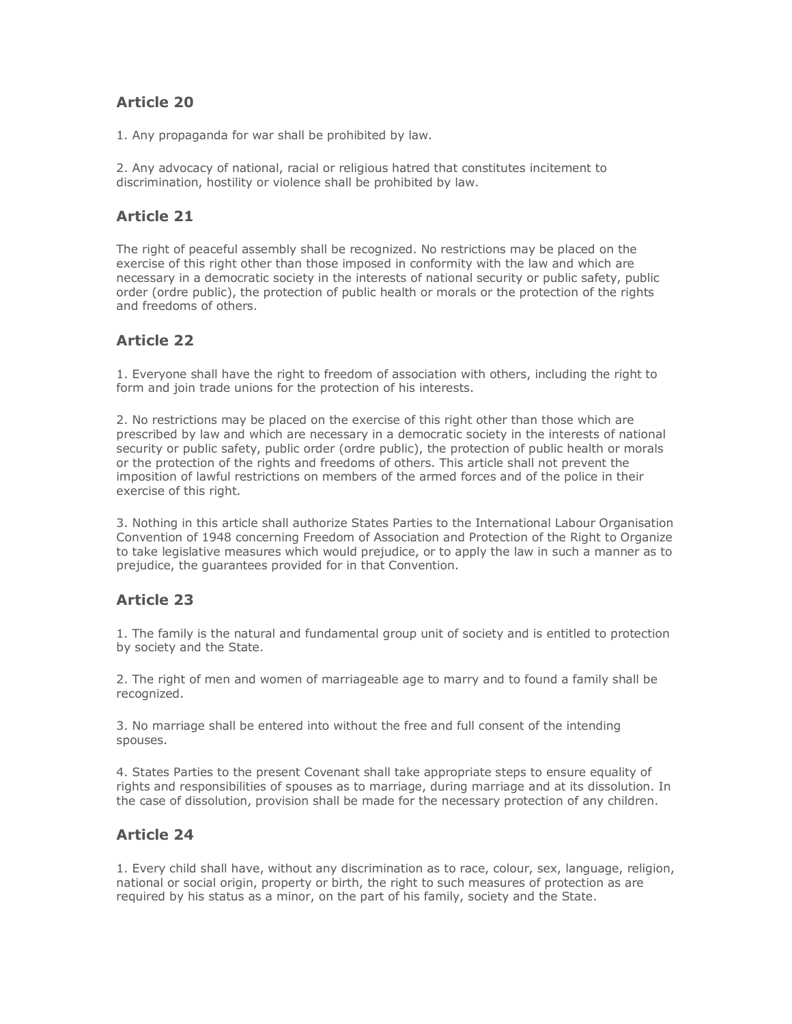1. Any propaganda for war shall be prohibited by law.

2. Any advocacy of national, racial or religious hatred that constitutes incitement to discrimination, hostility or violence shall be prohibited by law.

## **Article 21**

The right of peaceful assembly shall be recognized. No restrictions may be placed on the exercise of this right other than those imposed in conformity with the law and which are necessary in a democratic society in the interests of national security or public safety, public order (ordre public), the protection of public health or morals or the protection of the rights and freedoms of others.

## **Article 22**

1. Everyone shall have the right to freedom of association with others, including the right to form and join trade unions for the protection of his interests.

2. No restrictions may be placed on the exercise of this right other than those which are prescribed by law and which are necessary in a democratic society in the interests of national security or public safety, public order (ordre public), the protection of public health or morals or the protection of the rights and freedoms of others. This article shall not prevent the imposition of lawful restrictions on members of the armed forces and of the police in their exercise of this right.

3. Nothing in this article shall authorize States Parties to the International Labour Organisation Convention of 1948 concerning Freedom of Association and Protection of the Right to Organize to take legislative measures which would prejudice, or to apply the law in such a manner as to prejudice, the guarantees provided for in that Convention.

## **Article 23**

1. The family is the natural and fundamental group unit of society and is entitled to protection by society and the State.

2. The right of men and women of marriageable age to marry and to found a family shall be recognized.

3. No marriage shall be entered into without the free and full consent of the intending spouses.

4. States Parties to the present Covenant shall take appropriate steps to ensure equality of rights and responsibilities of spouses as to marriage, during marriage and at its dissolution. In the case of dissolution, provision shall be made for the necessary protection of any children.

## **Article 24**

1. Every child shall have, without any discrimination as to race, colour, sex, language, religion, national or social origin, property or birth, the right to such measures of protection as are required by his status as a minor, on the part of his family, society and the State.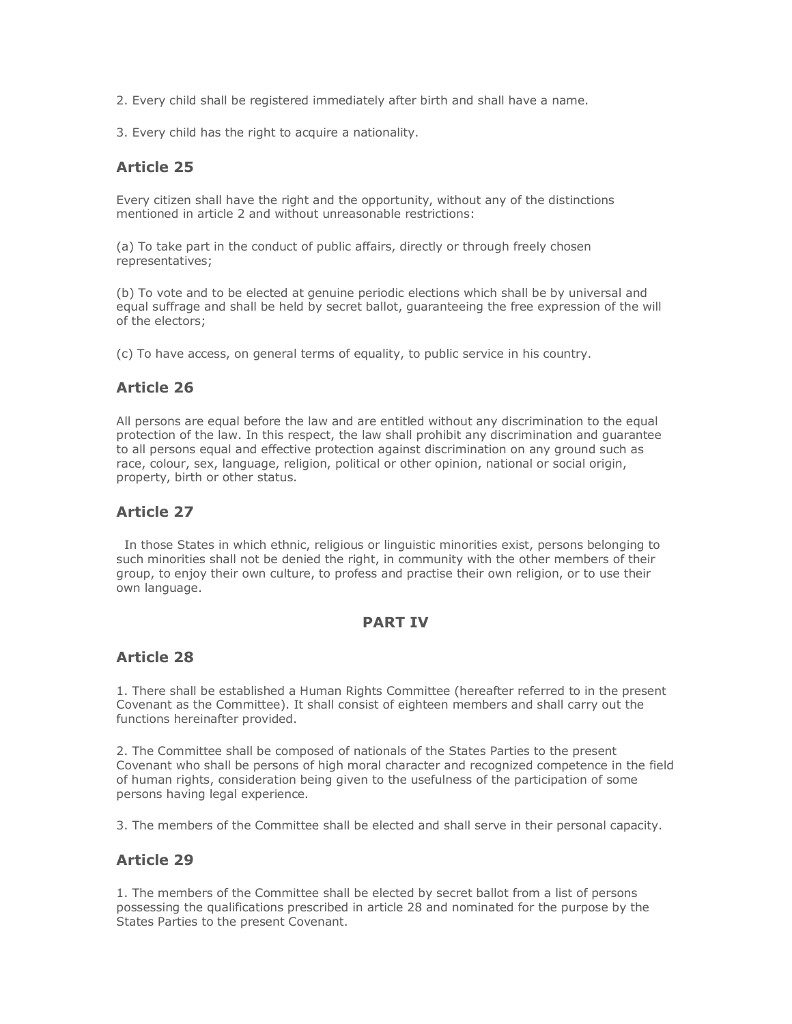2. Every child shall be registered immediately after birth and shall have a name.

3. Every child has the right to acquire a nationality.

## **Article 25**

Every citizen shall have the right and the opportunity, without any of the distinctions mentioned in article 2 and without unreasonable restrictions:

(a) To take part in the conduct of public affairs, directly or through freely chosen representatives;

(b) To vote and to be elected at genuine periodic elections which shall be by universal and equal suffrage and shall be held by secret ballot, guaranteeing the free expression of the will of the electors;

(c) To have access, on general terms of equality, to public service in his country.

### **Article 26**

All persons are equal before the law and are entitled without any discrimination to the equal protection of the law. In this respect, the law shall prohibit any discrimination and guarantee to all persons equal and effective protection against discrimination on any ground such as race, colour, sex, language, religion, political or other opinion, national or social origin, property, birth or other status.

### **Article 27**

 In those States in which ethnic, religious or linguistic minorities exist, persons belonging to such minorities shall not be denied the right, in community with the other members of their group, to enjoy their own culture, to profess and practise their own religion, or to use their own language.

### **PART IV**

### **Article 28**

1. There shall be established a Human Rights Committee (hereafter referred to in the present Covenant as the Committee). It shall consist of eighteen members and shall carry out the functions hereinafter provided.

2. The Committee shall be composed of nationals of the States Parties to the present Covenant who shall be persons of high moral character and recognized competence in the field of human rights, consideration being given to the usefulness of the participation of some persons having legal experience.

3. The members of the Committee shall be elected and shall serve in their personal capacity.

### **Article 29**

1. The members of the Committee shall be elected by secret ballot from a list of persons possessing the qualifications prescribed in article 28 and nominated for the purpose by the States Parties to the present Covenant.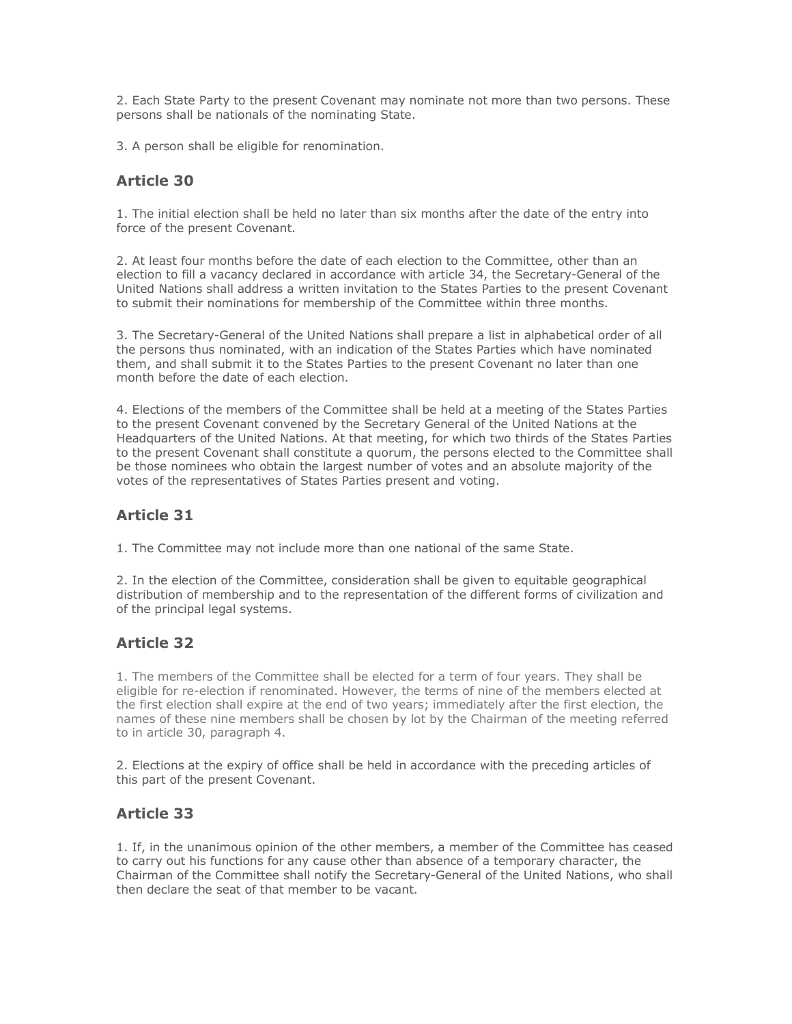2. Each State Party to the present Covenant may nominate not more than two persons. These persons shall be nationals of the nominating State.

3. A person shall be eligible for renomination.

### **Article 30**

1. The initial election shall be held no later than six months after the date of the entry into force of the present Covenant.

2. At least four months before the date of each election to the Committee, other than an election to fill a vacancy declared in accordance with article 34, the Secretary-General of the United Nations shall address a written invitation to the States Parties to the present Covenant to submit their nominations for membership of the Committee within three months.

3. The Secretary-General of the United Nations shall prepare a list in alphabetical order of all the persons thus nominated, with an indication of the States Parties which have nominated them, and shall submit it to the States Parties to the present Covenant no later than one month before the date of each election.

4. Elections of the members of the Committee shall be held at a meeting of the States Parties to the present Covenant convened by the Secretary General of the United Nations at the Headquarters of the United Nations. At that meeting, for which two thirds of the States Parties to the present Covenant shall constitute a quorum, the persons elected to the Committee shall be those nominees who obtain the largest number of votes and an absolute majority of the votes of the representatives of States Parties present and voting.

### **Article 31**

1. The Committee may not include more than one national of the same State.

2. In the election of the Committee, consideration shall be given to equitable geographical distribution of membership and to the representation of the different forms of civilization and of the principal legal systems.

### **Article 32**

1. The members of the Committee shall be elected for a term of four years. They shall be eligible for re-election if renominated. However, the terms of nine of the members elected at the first election shall expire at the end of two years; immediately after the first election, the names of these nine members shall be chosen by lot by the Chairman of the meeting referred to in article 30, paragraph 4.

2. Elections at the expiry of office shall be held in accordance with the preceding articles of this part of the present Covenant.

### **Article 33**

1. If, in the unanimous opinion of the other members, a member of the Committee has ceased to carry out his functions for any cause other than absence of a temporary character, the Chairman of the Committee shall notify the Secretary-General of the United Nations, who shall then declare the seat of that member to be vacant.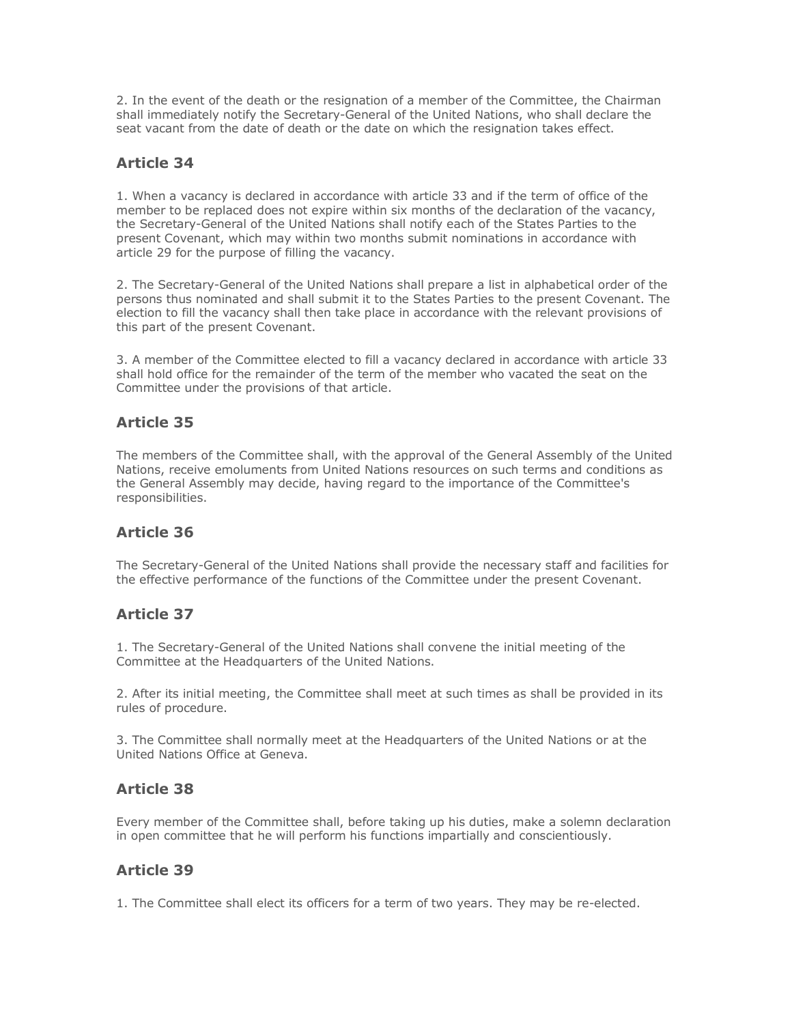2. In the event of the death or the resignation of a member of the Committee, the Chairman shall immediately notify the Secretary-General of the United Nations, who shall declare the seat vacant from the date of death or the date on which the resignation takes effect.

# **Article 34**

1. When a vacancy is declared in accordance with article 33 and if the term of office of the member to be replaced does not expire within six months of the declaration of the vacancy, the Secretary-General of the United Nations shall notify each of the States Parties to the present Covenant, which may within two months submit nominations in accordance with article 29 for the purpose of filling the vacancy.

2. The Secretary-General of the United Nations shall prepare a list in alphabetical order of the persons thus nominated and shall submit it to the States Parties to the present Covenant. The election to fill the vacancy shall then take place in accordance with the relevant provisions of this part of the present Covenant.

3. A member of the Committee elected to fill a vacancy declared in accordance with article 33 shall hold office for the remainder of the term of the member who vacated the seat on the Committee under the provisions of that article.

## **Article 35**

The members of the Committee shall, with the approval of the General Assembly of the United Nations, receive emoluments from United Nations resources on such terms and conditions as the General Assembly may decide, having regard to the importance of the Committee's responsibilities.

## **Article 36**

The Secretary-General of the United Nations shall provide the necessary staff and facilities for the effective performance of the functions of the Committee under the present Covenant.

## **Article 37**

1. The Secretary-General of the United Nations shall convene the initial meeting of the Committee at the Headquarters of the United Nations.

2. After its initial meeting, the Committee shall meet at such times as shall be provided in its rules of procedure.

3. The Committee shall normally meet at the Headquarters of the United Nations or at the United Nations Office at Geneva.

### **Article 38**

Every member of the Committee shall, before taking up his duties, make a solemn declaration in open committee that he will perform his functions impartially and conscientiously.

## **Article 39**

1. The Committee shall elect its officers for a term of two years. They may be re-elected.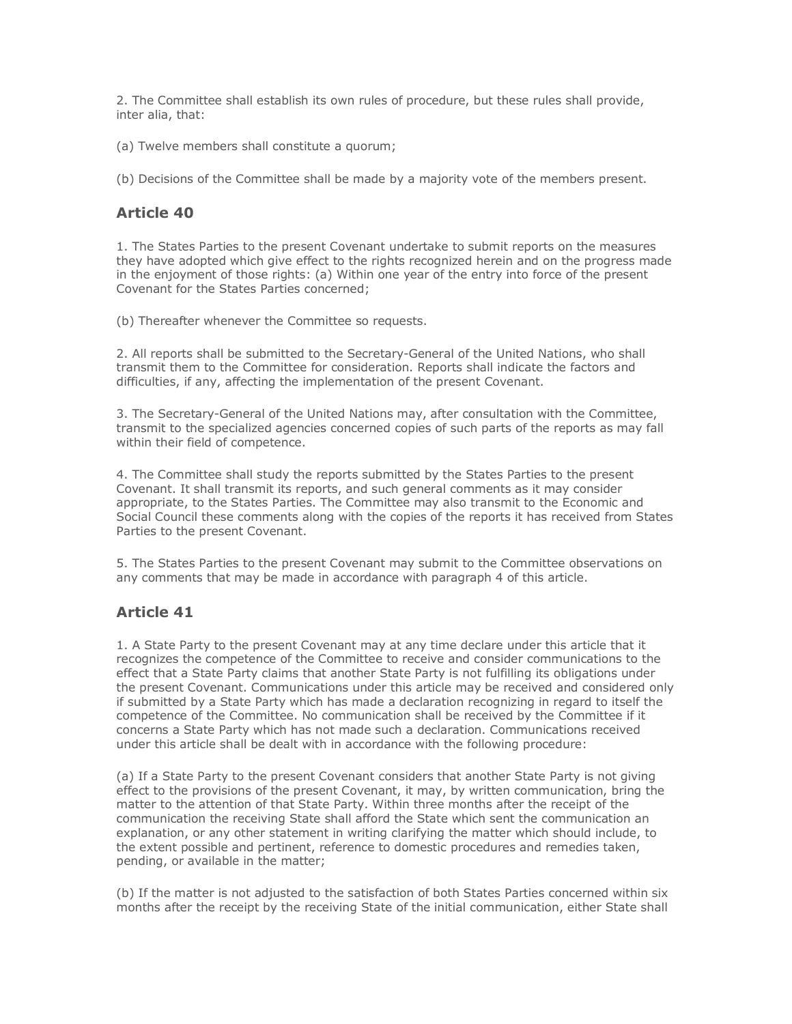2. The Committee shall establish its own rules of procedure, but these rules shall provide, inter alia, that:

(a) Twelve members shall constitute a quorum;

(b) Decisions of the Committee shall be made by a majority vote of the members present.

### **Article 40**

1. The States Parties to the present Covenant undertake to submit reports on the measures they have adopted which give effect to the rights recognized herein and on the progress made in the enjoyment of those rights: (a) Within one year of the entry into force of the present Covenant for the States Parties concerned;

(b) Thereafter whenever the Committee so requests.

2. All reports shall be submitted to the Secretary-General of the United Nations, who shall transmit them to the Committee for consideration. Reports shall indicate the factors and difficulties, if any, affecting the implementation of the present Covenant.

3. The Secretary-General of the United Nations may, after consultation with the Committee, transmit to the specialized agencies concerned copies of such parts of the reports as may fall within their field of competence.

4. The Committee shall study the reports submitted by the States Parties to the present Covenant. It shall transmit its reports, and such general comments as it may consider appropriate, to the States Parties. The Committee may also transmit to the Economic and Social Council these comments along with the copies of the reports it has received from States Parties to the present Covenant.

5. The States Parties to the present Covenant may submit to the Committee observations on any comments that may be made in accordance with paragraph 4 of this article.

### **Article 41**

1. A State Party to the present Covenant may at any time declare under this article that it recognizes the competence of the Committee to receive and consider communications to the effect that a State Party claims that another State Party is not fulfilling its obligations under the present Covenant. Communications under this article may be received and considered only if submitted by a State Party which has made a declaration recognizing in regard to itself the competence of the Committee. No communication shall be received by the Committee if it concerns a State Party which has not made such a declaration. Communications received under this article shall be dealt with in accordance with the following procedure:

(a) If a State Party to the present Covenant considers that another State Party is not giving effect to the provisions of the present Covenant, it may, by written communication, bring the matter to the attention of that State Party. Within three months after the receipt of the communication the receiving State shall afford the State which sent the communication an explanation, or any other statement in writing clarifying the matter which should include, to the extent possible and pertinent, reference to domestic procedures and remedies taken, pending, or available in the matter;

(b) If the matter is not adjusted to the satisfaction of both States Parties concerned within six months after the receipt by the receiving State of the initial communication, either State shall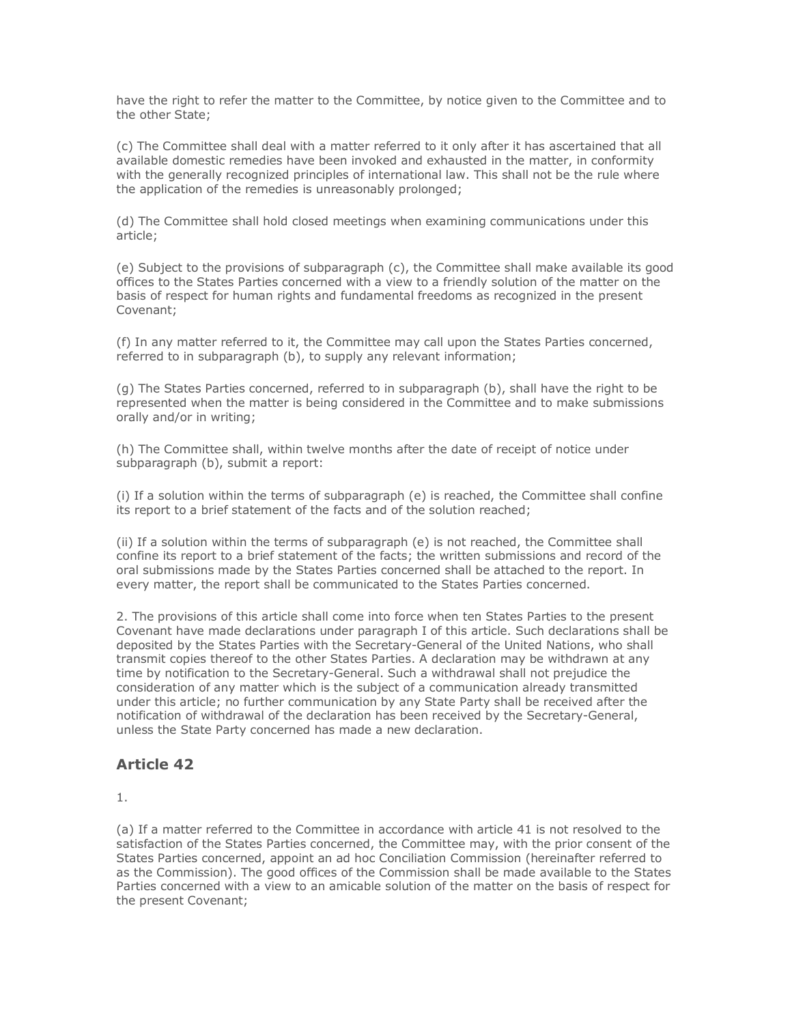have the right to refer the matter to the Committee, by notice given to the Committee and to the other State;

(c) The Committee shall deal with a matter referred to it only after it has ascertained that all available domestic remedies have been invoked and exhausted in the matter, in conformity with the generally recognized principles of international law. This shall not be the rule where the application of the remedies is unreasonably prolonged;

(d) The Committee shall hold closed meetings when examining communications under this article;

(e) Subject to the provisions of subparagraph (c), the Committee shall make available its good offices to the States Parties concerned with a view to a friendly solution of the matter on the basis of respect for human rights and fundamental freedoms as recognized in the present Covenant;

(f) In any matter referred to it, the Committee may call upon the States Parties concerned, referred to in subparagraph (b), to supply any relevant information;

(g) The States Parties concerned, referred to in subparagraph (b), shall have the right to be represented when the matter is being considered in the Committee and to make submissions orally and/or in writing;

(h) The Committee shall, within twelve months after the date of receipt of notice under subparagraph (b), submit a report:

(i) If a solution within the terms of subparagraph (e) is reached, the Committee shall confine its report to a brief statement of the facts and of the solution reached;

(ii) If a solution within the terms of subparagraph (e) is not reached, the Committee shall confine its report to a brief statement of the facts; the written submissions and record of the oral submissions made by the States Parties concerned shall be attached to the report. In every matter, the report shall be communicated to the States Parties concerned.

2. The provisions of this article shall come into force when ten States Parties to the present Covenant have made declarations under paragraph I of this article. Such declarations shall be deposited by the States Parties with the Secretary-General of the United Nations, who shall transmit copies thereof to the other States Parties. A declaration may be withdrawn at any time by notification to the Secretary-General. Such a withdrawal shall not prejudice the consideration of any matter which is the subject of a communication already transmitted under this article; no further communication by any State Party shall be received after the notification of withdrawal of the declaration has been received by the Secretary-General, unless the State Party concerned has made a new declaration.

### **Article 42**

1.

(a) If a matter referred to the Committee in accordance with article 41 is not resolved to the satisfaction of the States Parties concerned, the Committee may, with the prior consent of the States Parties concerned, appoint an ad hoc Conciliation Commission (hereinafter referred to as the Commission). The good offices of the Commission shall be made available to the States Parties concerned with a view to an amicable solution of the matter on the basis of respect for the present Covenant;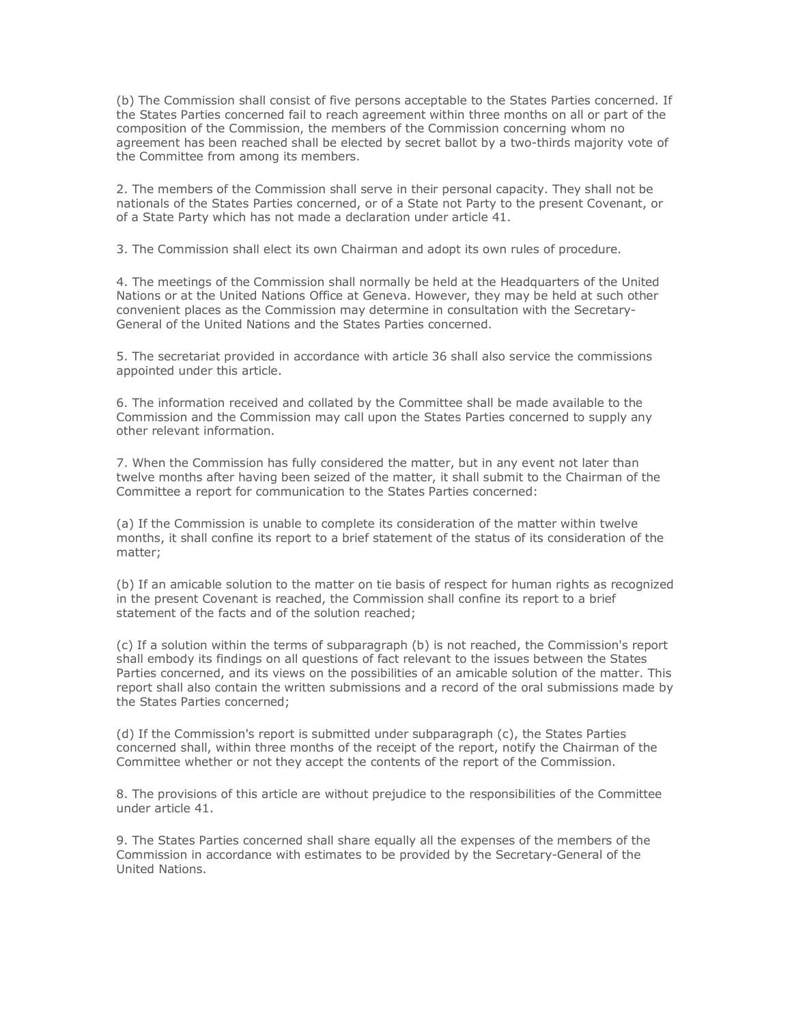(b) The Commission shall consist of five persons acceptable to the States Parties concerned. If the States Parties concerned fail to reach agreement within three months on all or part of the composition of the Commission, the members of the Commission concerning whom no agreement has been reached shall be elected by secret ballot by a two-thirds majority vote of the Committee from among its members.

2. The members of the Commission shall serve in their personal capacity. They shall not be nationals of the States Parties concerned, or of a State not Party to the present Covenant, or of a State Party which has not made a declaration under article 41.

3. The Commission shall elect its own Chairman and adopt its own rules of procedure.

4. The meetings of the Commission shall normally be held at the Headquarters of the United Nations or at the United Nations Office at Geneva. However, they may be held at such other convenient places as the Commission may determine in consultation with the Secretary-General of the United Nations and the States Parties concerned.

5. The secretariat provided in accordance with article 36 shall also service the commissions appointed under this article.

6. The information received and collated by the Committee shall be made available to the Commission and the Commission may call upon the States Parties concerned to supply any other relevant information.

7. When the Commission has fully considered the matter, but in any event not later than twelve months after having been seized of the matter, it shall submit to the Chairman of the Committee a report for communication to the States Parties concerned:

(a) If the Commission is unable to complete its consideration of the matter within twelve months, it shall confine its report to a brief statement of the status of its consideration of the matter;

(b) If an amicable solution to the matter on tie basis of respect for human rights as recognized in the present Covenant is reached, the Commission shall confine its report to a brief statement of the facts and of the solution reached;

(c) If a solution within the terms of subparagraph (b) is not reached, the Commission's report shall embody its findings on all questions of fact relevant to the issues between the States Parties concerned, and its views on the possibilities of an amicable solution of the matter. This report shall also contain the written submissions and a record of the oral submissions made by the States Parties concerned;

(d) If the Commission's report is submitted under subparagraph (c), the States Parties concerned shall, within three months of the receipt of the report, notify the Chairman of the Committee whether or not they accept the contents of the report of the Commission.

8. The provisions of this article are without prejudice to the responsibilities of the Committee under article 41.

9. The States Parties concerned shall share equally all the expenses of the members of the Commission in accordance with estimates to be provided by the Secretary-General of the United Nations.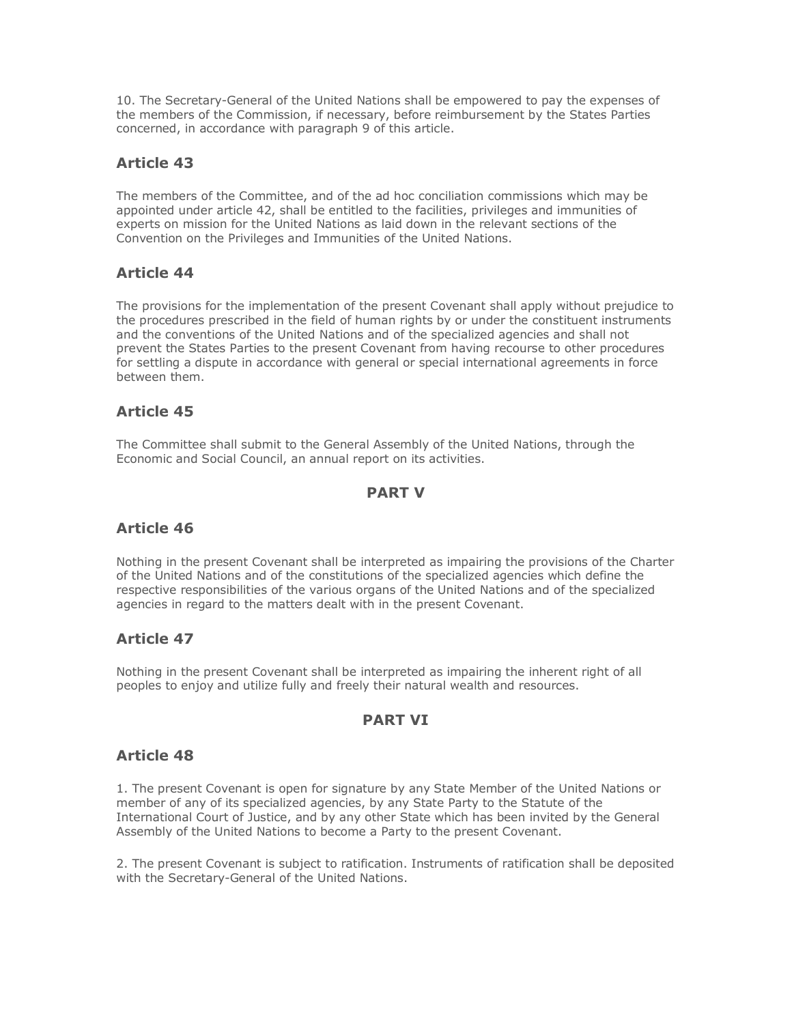10. The Secretary-General of the United Nations shall be empowered to pay the expenses of the members of the Commission, if necessary, before reimbursement by the States Parties concerned, in accordance with paragraph 9 of this article.

# **Article 43**

The members of the Committee, and of the ad hoc conciliation commissions which may be appointed under article 42, shall be entitled to the facilities, privileges and immunities of experts on mission for the United Nations as laid down in the relevant sections of the Convention on the Privileges and Immunities of the United Nations.

## **Article 44**

The provisions for the implementation of the present Covenant shall apply without prejudice to the procedures prescribed in the field of human rights by or under the constituent instruments and the conventions of the United Nations and of the specialized agencies and shall not prevent the States Parties to the present Covenant from having recourse to other procedures for settling a dispute in accordance with general or special international agreements in force between them.

### **Article 45**

The Committee shall submit to the General Assembly of the United Nations, through the Economic and Social Council, an annual report on its activities.

## **PART V**

### **Article 46**

Nothing in the present Covenant shall be interpreted as impairing the provisions of the Charter of the United Nations and of the constitutions of the specialized agencies which define the respective responsibilities of the various organs of the United Nations and of the specialized agencies in regard to the matters dealt with in the present Covenant.

## **Article 47**

Nothing in the present Covenant shall be interpreted as impairing the inherent right of all peoples to enjoy and utilize fully and freely their natural wealth and resources.

### **PART VI**

### **Article 48**

1. The present Covenant is open for signature by any State Member of the United Nations or member of any of its specialized agencies, by any State Party to the Statute of the International Court of Justice, and by any other State which has been invited by the General Assembly of the United Nations to become a Party to the present Covenant.

2. The present Covenant is subject to ratification. Instruments of ratification shall be deposited with the Secretary-General of the United Nations.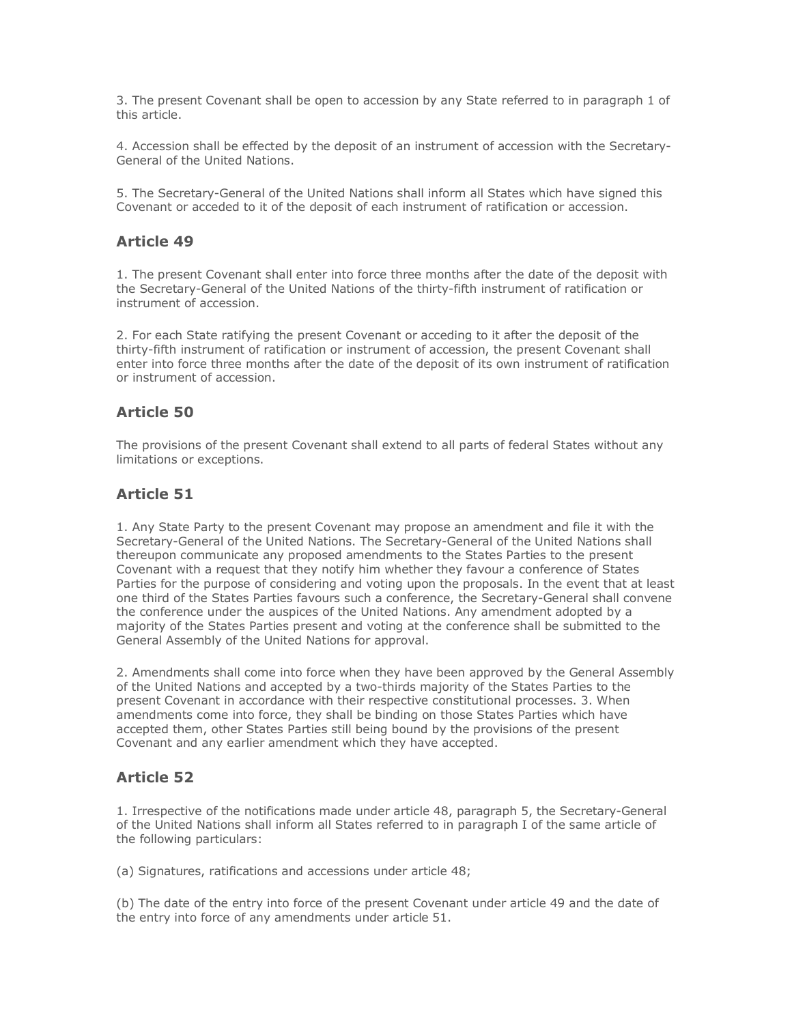3. The present Covenant shall be open to accession by any State referred to in paragraph 1 of this article.

4. Accession shall be effected by the deposit of an instrument of accession with the Secretary-General of the United Nations.

5. The Secretary-General of the United Nations shall inform all States which have signed this Covenant or acceded to it of the deposit of each instrument of ratification or accession.

#### **Article 49**

1. The present Covenant shall enter into force three months after the date of the deposit with the Secretary-General of the United Nations of the thirty-fifth instrument of ratification or instrument of accession.

2. For each State ratifying the present Covenant or acceding to it after the deposit of the thirty-fifth instrument of ratification or instrument of accession, the present Covenant shall enter into force three months after the date of the deposit of its own instrument of ratification or instrument of accession.

#### **Article 50**

The provisions of the present Covenant shall extend to all parts of federal States without any limitations or exceptions.

#### **Article 51**

1. Any State Party to the present Covenant may propose an amendment and file it with the Secretary-General of the United Nations. The Secretary-General of the United Nations shall thereupon communicate any proposed amendments to the States Parties to the present Covenant with a request that they notify him whether they favour a conference of States Parties for the purpose of considering and voting upon the proposals. In the event that at least one third of the States Parties favours such a conference, the Secretary-General shall convene the conference under the auspices of the United Nations. Any amendment adopted by a majority of the States Parties present and voting at the conference shall be submitted to the General Assembly of the United Nations for approval.

2. Amendments shall come into force when they have been approved by the General Assembly of the United Nations and accepted by a two-thirds majority of the States Parties to the present Covenant in accordance with their respective constitutional processes. 3. When amendments come into force, they shall be binding on those States Parties which have accepted them, other States Parties still being bound by the provisions of the present Covenant and any earlier amendment which they have accepted.

### **Article 52**

1. Irrespective of the notifications made under article 48, paragraph 5, the Secretary-General of the United Nations shall inform all States referred to in paragraph I of the same article of the following particulars:

(a) Signatures, ratifications and accessions under article 48;

(b) The date of the entry into force of the present Covenant under article 49 and the date of the entry into force of any amendments under article 51.